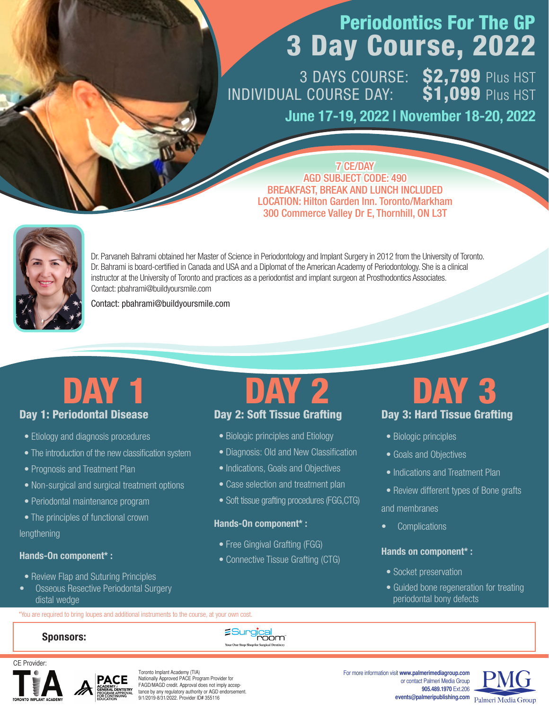## Periodontics For The GP 3 Day Course, 2022

3 DAYS COURSE: \$2,799 Plus HST INDIVIDUAL COURSE DAY:  $$1,099$  Plus HST

June 17-19, 2022 | November 18-20, 2022

7 CE/DAY AGD SUBJECT CODE: 490 BREAKFAST, BREAK AND LUNCH INCLUDED LOCATION: Hilton Garden Inn. Toronto/Markham 300 Commerce Valley Dr E, Thornhill, ON L3T



Dr. Parvaneh Bahrami obtained her Master of Science in Periodontology and Implant Surgery in 2012 from the University of Toronto. Dr. Bahrami is board-certified in Canada and USA and a Diplomat of the American Academy of Periodontology. She is a clinical instructor at the University of Toronto and practices as a periodontist and implant surgeon at Prosthodontics Associates. Contact: pbahrami@buildyoursmile.com

Contact: pbahrami@buildyoursmile.com

## Day 1: Periodontal Disease

- Etiology and diagnosis procedures
- The introduction of the new classification system
- Prognosis and Treatment Plan
- Non-surgical and surgical treatment options
- Periodontal maintenance program
- The principles of functional crown

lengthening

### Hands-On component\* :

- Review Flap and Suturing Principles
- Osseous Resective Periodontal Surgery distal wedge

\*You are required to bring loupes and additional instruments to the course, at your own cost.

# Day 2: Soft Tissue Grafting

- Biologic principles and Etiology
- Diagnosis: Old and New Classification
- Indications, Goals and Objectives
- Case selection and treatment plan
- Soft tissue grafting procedures (FGG, CTG)

### Hands-On component\* :

- Free Gingival Grafting (FGG)
- Connective Tissue Grafting (CTG)

## Day 3: Hard Tissue Grafting DAY 1 DAY 2 DAY 3

- Biologic principles
- Goals and Objectives
- Indications and Treatment Plan
- Review different types of Bone grafts and membranes
- Complications

## Hands on component\* :

- Socket preservation
- Guided bone regeneration for treating periodontal bony defects

### Sponsors:

'gical<br>"room"



Toronto Implant Academy (TIA) Nationally Approved PACE Program Provider for FAGD/MAGD credit. Approval does not imply acceptance by any regulatory authority or AGD endorsement. 9/1/2019-8/31/2022. Provider ID# 355116

For more information visit **www.palmerimediagroup.com** or contact Palmeri Media Group **905.489.1970** Ext.206 **events@palmeripublishing.com**